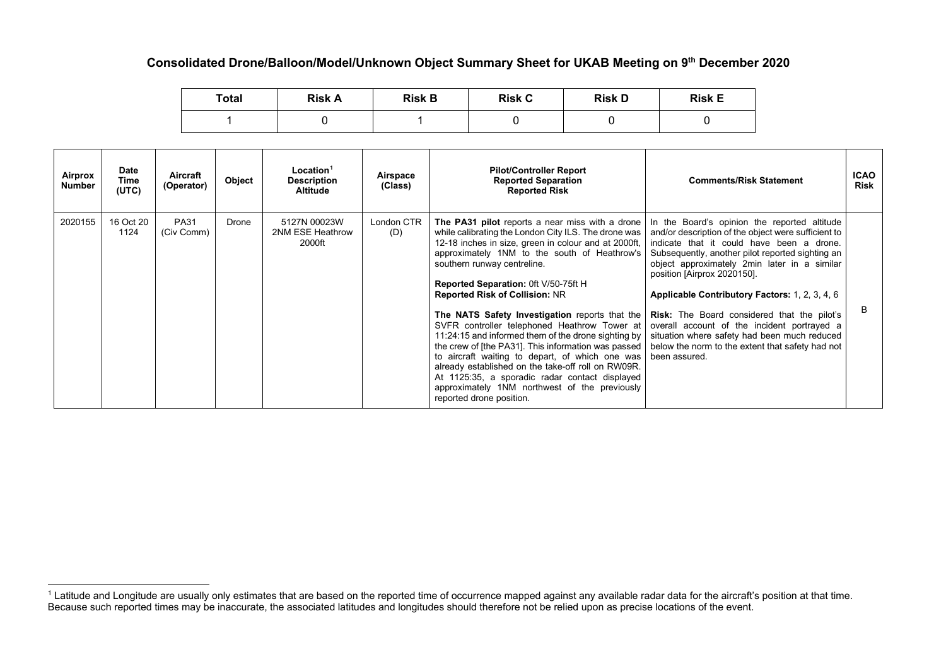## **Consolidated Drone/Balloon/Model/Unknown Object Summary Sheet for UKAB Meeting on 9th December 2020**

<span id="page-0-0"></span>

| <b>Total</b> | <b>Risk A</b> | <b>Risk B</b> | <b>Risk C</b> | <b>Risk D</b> | <b>Risk E</b> |  |
|--------------|---------------|---------------|---------------|---------------|---------------|--|
|              |               |               |               |               |               |  |

| Airprox<br><b>Number</b> | <b>Date</b><br>Time<br>(UTC) | Aircraft<br>(Operator)    | Object | Location <sup>1</sup><br><b>Description</b><br>Altitude | Airspace<br>(Class) | <b>Pilot/Controller Report</b><br><b>Reported Separation</b><br><b>Reported Risk</b>                                                                                                                                                                                                                                                                                                                                                                                                                                                                                                                                                                                                                                                                                                                                                                                                                                                                                                            | <b>Comments/Risk Statement</b>                                                                                                                                                                                                                                                                                                        | <b>ICAO</b><br><b>Risk</b> |
|--------------------------|------------------------------|---------------------------|--------|---------------------------------------------------------|---------------------|-------------------------------------------------------------------------------------------------------------------------------------------------------------------------------------------------------------------------------------------------------------------------------------------------------------------------------------------------------------------------------------------------------------------------------------------------------------------------------------------------------------------------------------------------------------------------------------------------------------------------------------------------------------------------------------------------------------------------------------------------------------------------------------------------------------------------------------------------------------------------------------------------------------------------------------------------------------------------------------------------|---------------------------------------------------------------------------------------------------------------------------------------------------------------------------------------------------------------------------------------------------------------------------------------------------------------------------------------|----------------------------|
| 2020155                  | 16 Oct 20<br>1124            | <b>PA31</b><br>(Civ Comm) | Drone  | 5127N 00023W<br>2NM ESE Heathrow<br>2000ft              | London CTR<br>(D)   | The PA31 pilot reports a near miss with a drone<br>while calibrating the London City ILS. The drone was<br>12-18 inches in size, green in colour and at 2000ft,<br>approximately 1NM to the south of Heathrow's<br>southern runway centreline.<br>Reported Separation: 0ft V/50-75ft H<br><b>Reported Risk of Collision: NR</b><br>The NATS Safety Investigation reports that the   Risk: The Board considered that the pilot's<br>SVFR controller telephoned Heathrow Tower at overall account of the incident portrayed a<br>11:24:15 and informed them of the drone sighting by situation where safety had been much reduced<br>the crew of [the PA31]. This information was passed   below the norm to the extent that safety had not<br>to aircraft waiting to depart, of which one was been assured.<br>already established on the take-off roll on RW09R.<br>At 1125:35, a sporadic radar contact displayed<br>approximately 1NM northwest of the previously<br>reported drone position. | In the Board's opinion the reported altitude<br>and/or description of the object were sufficient to<br>indicate that it could have been a drone.<br>Subsequently, another pilot reported sighting an<br>object approximately 2min later in a similar<br>position [Airprox 2020150].<br>Applicable Contributory Factors: 1, 2, 3, 4, 6 | B                          |

 $^1$  Latitude and Longitude are usually only estimates that are based on the reported time of occurrence mapped against any available radar data for the aircraft's position at that time. Because such reported times may be inaccurate, the associated latitudes and longitudes should therefore not be relied upon as precise locations of the event.